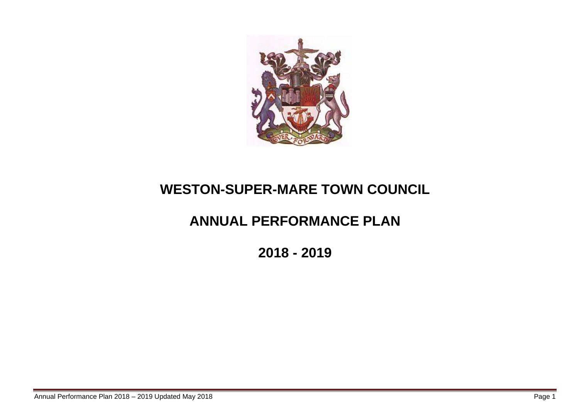

# **WESTON-SUPER-MARE TOWN COUNCIL**

# **ANNUAL PERFORMANCE PLAN**

**2018 - 2019**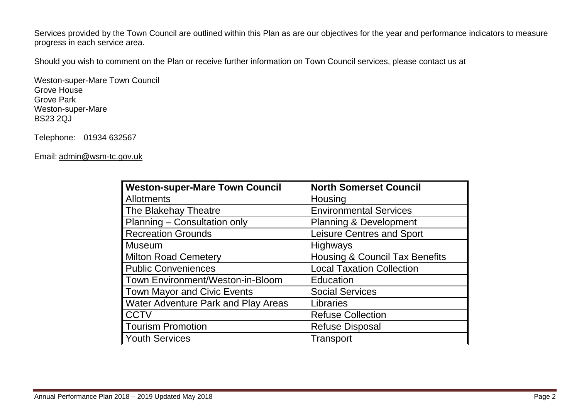Services provided by the Town Council are outlined within this Plan as are our objectives for the year and performance indicators to measure progress in each service area.

Should you wish to comment on the Plan or receive further information on Town Council services, please contact us at

Weston-super-Mare Town Council Grove House Grove Park Weston-super-Mare BS23 2QJ

Telephone: 01934 632567

Email: [admin@wsm-tc.gov.uk](mailto:admin@wsm-tc.gov.uk)

| <b>Weston-super-Mare Town Council</b>      | <b>North Somerset Council</b>             |
|--------------------------------------------|-------------------------------------------|
| <b>Allotments</b>                          | Housing                                   |
| The Blakehay Theatre                       | <b>Environmental Services</b>             |
| Planning - Consultation only               | <b>Planning &amp; Development</b>         |
| <b>Recreation Grounds</b>                  | <b>Leisure Centres and Sport</b>          |
| <b>Museum</b>                              | <b>Highways</b>                           |
| <b>Milton Road Cemetery</b>                | <b>Housing &amp; Council Tax Benefits</b> |
| <b>Public Conveniences</b>                 | <b>Local Taxation Collection</b>          |
| Town Environment/Weston-in-Bloom           | Education                                 |
| <b>Town Mayor and Civic Events</b>         | <b>Social Services</b>                    |
| <b>Water Adventure Park and Play Areas</b> | Libraries                                 |
| <b>CCTV</b>                                | <b>Refuse Collection</b>                  |
| <b>Tourism Promotion</b>                   | <b>Refuse Disposal</b>                    |
| <b>Youth Services</b>                      | Transport                                 |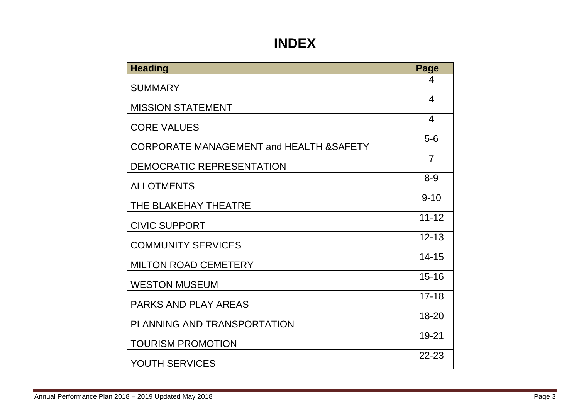# **INDEX**

| <b>Heading</b>                           | Page           |
|------------------------------------------|----------------|
| <b>SUMMARY</b>                           | 4              |
| <b>MISSION STATEMENT</b>                 | 4              |
| <b>CORE VALUES</b>                       | $\overline{4}$ |
| CORPORATE MANAGEMENT and HEALTH & SAFETY | $5-6$          |
| DEMOCRATIC REPRESENTATION                | $\overline{7}$ |
| <b>ALLOTMENTS</b>                        | $8 - 9$        |
| THE BLAKEHAY THEATRE                     | $9 - 10$       |
| <b>CIVIC SUPPORT</b>                     | $11 - 12$      |
| <b>COMMUNITY SERVICES</b>                | $12 - 13$      |
| <b>MILTON ROAD CEMETERY</b>              | $14 - 15$      |
| <b>WESTON MUSEUM</b>                     | $15 - 16$      |
| <b>PARKS AND PLAY AREAS</b>              | $17 - 18$      |
| PLANNING AND TRANSPORTATION              | $18 - 20$      |
| <b>TOURISM PROMOTION</b>                 | $19 - 21$      |
| <b>YOUTH SERVICES</b>                    | $22 - 23$      |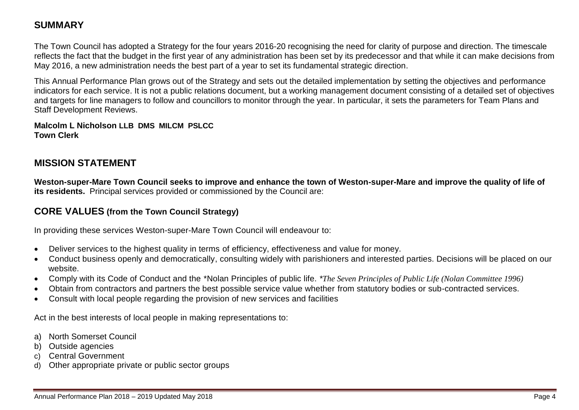## **SUMMARY**

The Town Council has adopted a Strategy for the four years 2016-20 recognising the need for clarity of purpose and direction. The timescale reflects the fact that the budget in the first year of any administration has been set by its predecessor and that while it can make decisions from May 2016, a new administration needs the best part of a year to set its fundamental strategic direction.

This Annual Performance Plan grows out of the Strategy and sets out the detailed implementation by setting the objectives and performance indicators for each service. It is not a public relations document, but a working management document consisting of a detailed set of objectives and targets for line managers to follow and councillors to monitor through the year. In particular, it sets the parameters for Team Plans and Staff Development Reviews.

**Malcolm L Nicholson LLB DMS MILCM PSLCC Town Clerk**

## **MISSION STATEMENT**

**Weston-super-Mare Town Council seeks to improve and enhance the town of Weston-super-Mare and improve the quality of life of its residents.** Principal services provided or commissioned by the Council are:

## **CORE VALUES (from the Town Council Strategy)**

In providing these services Weston-super-Mare Town Council will endeavour to:

- Deliver services to the highest quality in terms of efficiency, effectiveness and value for money.
- Conduct business openly and democratically, consulting widely with parishioners and interested parties. Decisions will be placed on our website.
- Comply with its Code of Conduct and the \*Nolan Principles of public life. *\*[The Seven Principles of Public Life](http://www.knowsley.gov.uk/docs/9%20-%20The%20Seven%20Principles%20of%20Public%20Life.doc) (Nolan Committee 1996)*
- Obtain from contractors and partners the best possible service value whether from statutory bodies or sub-contracted services.
- Consult with local people regarding the provision of new services and facilities

Act in the best interests of local people in making representations to:

- a) North Somerset Council
- b) Outside agencies
- c) Central Government
- d) Other appropriate private or public sector groups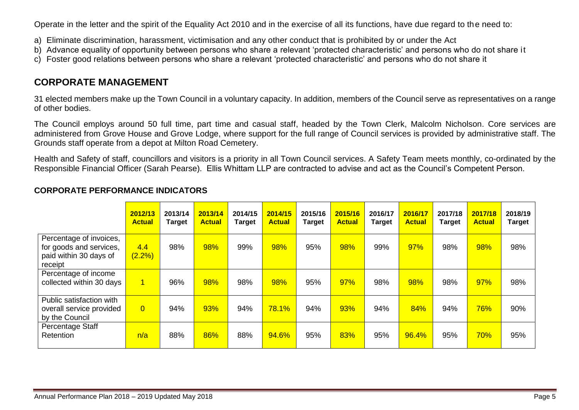Operate in the letter and the spirit of the Equality Act 2010 and in the exercise of all its functions, have due regard to the need to:

- a) Eliminate discrimination, harassment, victimisation and any other conduct that is prohibited by or under the Act
- b) Advance equality of opportunity between persons who share a relevant 'protected characteristic' and persons who do not share it
- c) Foster good relations between persons who share a relevant 'protected characteristic' and persons who do not share it

## **CORPORATE MANAGEMENT**

31 elected members make up the Town Council in a voluntary capacity. In addition, members of the Council serve as representatives on a range of other bodies.

The Council employs around 50 full time, part time and casual staff, headed by the Town Clerk, Malcolm Nicholson. Core services are administered from Grove House and Grove Lodge, where support for the full range of Council services is provided by administrative staff. The Grounds staff operate from a depot at Milton Road Cemetery.

Health and Safety of staff, councillors and visitors is a priority in all Town Council services. A Safety Team meets monthly, co-ordinated by the Responsible Financial Officer (Sarah Pearse). Ellis Whittam LLP are contracted to advise and act as the Council's Competent Person.

|                                                                                         | 2012/13<br><b>Actual</b> | 2013/14<br><b>Target</b> | 2013/14<br><b>Actual</b> | 2014/15<br><b>Target</b> | 2014/15<br><b>Actual</b> | 2015/16<br><b>Target</b> | 2015/16<br><b>Actual</b> | 2016/17<br><b>Target</b> | 2016/17<br><b>Actual</b> | 2017/18<br>Target | 2017/18<br><b>Actual</b> | 2018/19<br><b>Target</b> |
|-----------------------------------------------------------------------------------------|--------------------------|--------------------------|--------------------------|--------------------------|--------------------------|--------------------------|--------------------------|--------------------------|--------------------------|-------------------|--------------------------|--------------------------|
| Percentage of invoices,<br>for goods and services,<br>paid within 30 days of<br>receipt | 4.4<br>$(2.2\%)$         | 98%                      | 98%                      | 99%                      | 98%                      | 95%                      | 98%                      | 99%                      | 97%                      | 98%               | 98%                      | 98%                      |
| Percentage of income<br>collected within 30 days                                        | $\overline{1}$           | 96%                      | 98%                      | 98%                      | 98%                      | 95%                      | 97%                      | 98%                      | 98%                      | 98%               | 97%                      | 98%                      |
| Public satisfaction with<br>overall service provided<br>by the Council                  | $\overline{0}$           | 94%                      | 93%                      | 94%                      | 78.1%                    | 94%                      | 93%                      | 94%                      | 84%                      | 94%               | 76%                      | 90%                      |
| Percentage Staff<br>Retention                                                           | n/a                      | 88%                      | 86%                      | 88%                      | 94.6%                    | 95%                      | 83%                      | 95%                      | 96.4%                    | 95%               | 70%                      | 95%                      |

#### **CORPORATE PERFORMANCE INDICATORS**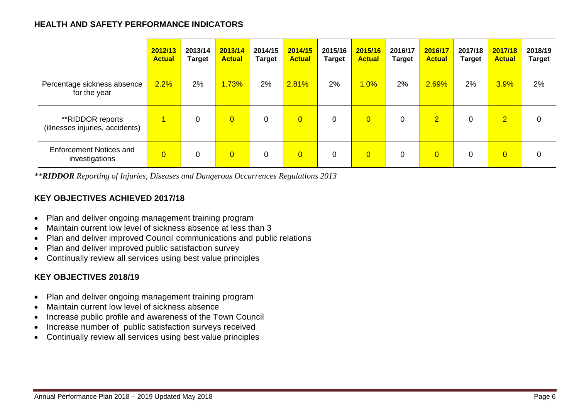#### **HEALTH AND SAFETY PERFORMANCE INDICATORS**

|                                                     | 2012/13<br><b>Actual</b> | 2013/14<br><b>Target</b> | 2013/14<br><b>Actual</b> | 2014/15<br><b>Target</b> | 2014/15<br><b>Actual</b> | 2015/16<br><b>Target</b> | 2015/16<br><b>Actual</b> | 2016/17<br><b>Target</b> | 2016/17<br><b>Actual</b> | 2017/18<br><b>Target</b> | 2017/18<br><b>Actual</b> | 2018/19<br><b>Target</b> |
|-----------------------------------------------------|--------------------------|--------------------------|--------------------------|--------------------------|--------------------------|--------------------------|--------------------------|--------------------------|--------------------------|--------------------------|--------------------------|--------------------------|
| Percentage sickness absence<br>for the year         | 2.2%                     | 2%                       | 1.73%                    | 2%                       | 2.81%                    | 2%                       | $.0\%$                   | 2%                       | 2.69%                    | 2%                       | 3.9%                     | 2%                       |
| **RIDDOR reports<br>(illnesses injuries, accidents) | 1                        | 0                        | $\overline{0}$           | 0                        | $\overline{0}$           | $\overline{0}$           | $\overline{0}$           | 0                        | $\overline{2}$           | 0                        | $\overline{2}$           | $\mathbf 0$              |
| <b>Enforcement Notices and</b><br>investigations    | $\overline{0}$           | 0                        | $\overline{0}$           | 0                        | $\overline{0}$           | 0                        | $\overline{0}$           | 0                        | $\overline{0}$           | 0                        | $\overline{0}$           | 0                        |

*\*\*RIDDOR Reporting of Injuries, Diseases and Dangerous Occurrences Regulations 2013*

## **KEY OBJECTIVES ACHIEVED 2017/18**

- Plan and deliver ongoing management training program
- Maintain current low level of sickness absence at less than 3
- Plan and deliver improved Council communications and public relations
- Plan and deliver improved public satisfaction survey
- Continually review all services using best value principles

## **KEY OBJECTIVES 2018/19**

- Plan and deliver ongoing management training program
- Maintain current low level of sickness absence
- Increase public profile and awareness of the Town Council
- Increase number of public satisfaction surveys received
- Continually review all services using best value principles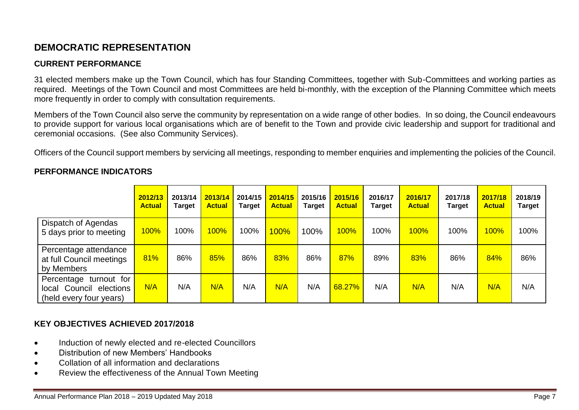## **DEMOCRATIC REPRESENTATION**

#### **CURRENT PERFORMANCE**

31 elected members make up the Town Council, which has four Standing Committees, together with Sub-Committees and working parties as required. Meetings of the Town Council and most Committees are held bi-monthly, with the exception of the Planning Committee which meets more frequently in order to comply with consultation requirements.

Members of the Town Council also serve the community by representation on a wide range of other bodies. In so doing, the Council endeavours to provide support for various local organisations which are of benefit to the Town and provide civic leadership and support for traditional and ceremonial occasions. (See also Community Services).

Officers of the Council support members by servicing all meetings, responding to member enquiries and implementing the policies of the Council.

|                                                                                    | 2012/13<br><b>Actual</b> | 2013/14<br><b>Target</b> | 2013/14<br><b>Actual</b> | 2014/15<br>Target | 2014/15<br><b>Actual</b> | 2015/16<br><b>Target</b> | 2015/16<br><b>Actual</b> | 2016/17<br><b>Target</b> | 2016/17<br><b>Actual</b> | 2017/18<br><b>Target</b> | 2017/18<br><b>Actual</b> | 2018/19<br><b>Target</b> |
|------------------------------------------------------------------------------------|--------------------------|--------------------------|--------------------------|-------------------|--------------------------|--------------------------|--------------------------|--------------------------|--------------------------|--------------------------|--------------------------|--------------------------|
| <b>Dispatch of Agendas</b><br>5 days prior to meeting                              | $100\%$                  | 100%                     | 100%                     | 100%              | $100\%$                  | 100%                     | 100%                     | 100%                     | 100%                     | 100%                     | <b>100%</b>              | 100%                     |
| Percentage attendance<br>at full Council meetings<br>by Members                    | 81%                      | 86%                      | 85%                      | 86%               | 83%                      | 86%                      | 87%                      | 89%                      | 83%                      | 86%                      | 84%                      | 86%                      |
| Percentage<br>turnout for<br>local Council<br>elections<br>(held every four years) | N/A                      | N/A                      | N/A                      | N/A               | N/A                      | N/A                      | 68.27%                   | N/A                      | N/A                      | N/A                      | N/A                      | N/A                      |

#### **PERFORMANCE INDICATORS**

## **KEY OBJECTIVES ACHIEVED 2017/2018**

- Induction of newly elected and re-elected Councillors
- Distribution of new Members' Handbooks
- Collation of all information and declarations
- Review the effectiveness of the Annual Town Meeting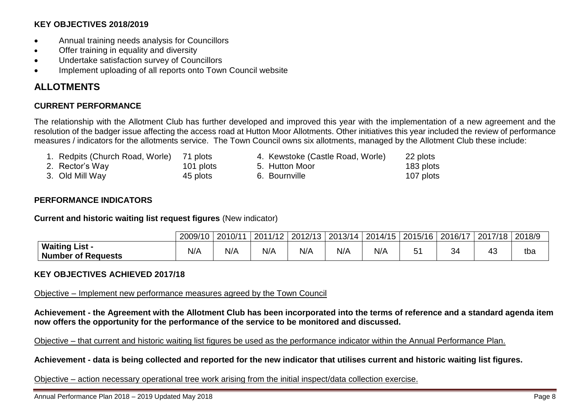#### **KEY OBJECTIVES 2018/2019**

- Annual training needs analysis for Councillors
- Offer training in equality and diversity
- Undertake satisfaction survey of Councillors
- Implement uploading of all reports onto Town Council website

## **ALLOTMENTS**

#### **CURRENT PERFORMANCE**

The relationship with the Allotment Club has further developed and improved this year with the implementation of a new agreement and the resolution of the badger issue affecting the access road at Hutton Moor Allotments. Other initiatives this year included the review of performance measures / indicators for the allotments service. The Town Council owns six allotments, managed by the Allotment Club these include:

- 1. Redpits (Church Road, Worle) 71 plots 4. Kewstoke (Castle Road, Worle) 22 plots
- 
- 
- 
- 
- 2. Rector's Way  $\begin{array}{ccc} 101 \text{ plots} & 5. \text{ Hutton Moor} & 183 \text{ plots} \\ 3. \text{ Old Mill Way} & 45 \text{ plots} & 6. \text{ Bournville} & 107 \text{ plots} \end{array}$ 3. Old Mill Way  $45$  plots 6. Bournville 107 plots 107 plots

#### **PERFORMANCE INDICATORS**

**Current and historic waiting list request figures** (New indicator)

|                                             | 2009/10 | 12010/11 | 2011/12 | 2012/13 | 2013/14 | 2014/15 | 2015/16 | 12016/17 | 2017/18 | 2018/9 |
|---------------------------------------------|---------|----------|---------|---------|---------|---------|---------|----------|---------|--------|
| Waiting List -<br><b>Number of Requests</b> | N/A     | N/A      | N/A     | N/A     | N/A     | N/A     |         | 34       |         | tba    |

#### **KEY OBJECTIVES ACHIEVED 2017/18**

Objective – Implement new performance measures agreed by the Town Council

**Achievement - the Agreement with the Allotment Club has been incorporated into the terms of reference and a standard agenda item now offers the opportunity for the performance of the service to be monitored and discussed.**

Objective – that current and historic waiting list figures be used as the performance indicator within the Annual Performance Plan.

**Achievement - data is being collected and reported for the new indicator that utilises current and historic waiting list figures.**

Objective – action necessary operational tree work arising from the initial inspect/data collection exercise.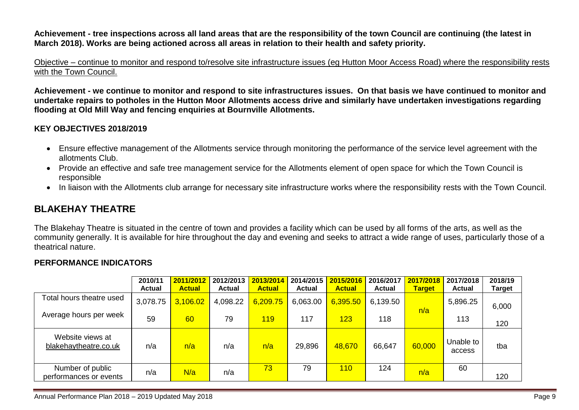**Achievement - tree inspections across all land areas that are the responsibility of the town Council are continuing (the latest in March 2018). Works are being actioned across all areas in relation to their health and safety priority.**

Objective – continue to monitor and respond to/resolve site infrastructure issues (eg Hutton Moor Access Road) where the responsibility rests with the Town Council.

**Achievement - we continue to monitor and respond to site infrastructures issues. On that basis we have continued to monitor and undertake repairs to potholes in the Hutton Moor Allotments access drive and similarly have undertaken investigations regarding flooding at Old Mill Way and fencing enquiries at Bournville Allotments.**

#### **KEY OBJECTIVES 2018/2019**

- Ensure effective management of the Allotments service through monitoring the performance of the service level agreement with the allotments Club.
- Provide an effective and safe tree management service for the Allotments element of open space for which the Town Council is responsible
- In liaison with the Allotments club arrange for necessary site infrastructure works where the responsibility rests with the Town Council.

## **BLAKEHAY THEATRE**

The Blakehay Theatre is situated in the centre of town and provides a facility which can be used by all forms of the arts, as well as the community generally. It is available for hire throughout the day and evening and seeks to attract a wide range of uses, particularly those of a theatrical nature.

#### **PERFORMANCE INDICATORS**

|                                            | 2010/11<br><b>Actual</b> | 2011/2012<br><b>Actual</b> | 2012/2013<br><b>Actual</b> | 2013/2014<br><b>Actual</b> | 2014/2015<br><b>Actual</b> | 2015/2016<br><b>Actual</b> | 2016/2017<br><b>Actual</b> | 2017/2018<br><b>Target</b> | 2017/2018<br><b>Actual</b> | 2018/19<br>Target |
|--------------------------------------------|--------------------------|----------------------------|----------------------------|----------------------------|----------------------------|----------------------------|----------------------------|----------------------------|----------------------------|-------------------|
| Total hours theatre used                   | 3,078.75                 | 3,106.02                   | 4,098.22                   | 6,209.75                   | 6,063.00                   | 6,395.50                   | 6,139.50                   | n/a                        | 5,896.25                   | 6,000             |
| Average hours per week                     | 59                       | 60                         | 79                         | <b>119</b>                 | 117                        | 123                        | 118                        |                            | 113                        | 120               |
| Website views at<br>blakehaytheatre.co.uk  | n/a                      | n/a                        | n/a                        | n/a                        | 29,896                     | 48,670                     | 66,647                     | 60,000                     | Unable to<br>access        | tba               |
| Number of public<br>performances or events | n/a                      | N/a                        | n/a                        | 73                         | 79                         | 110                        | 124                        | n/a                        | 60                         | 120               |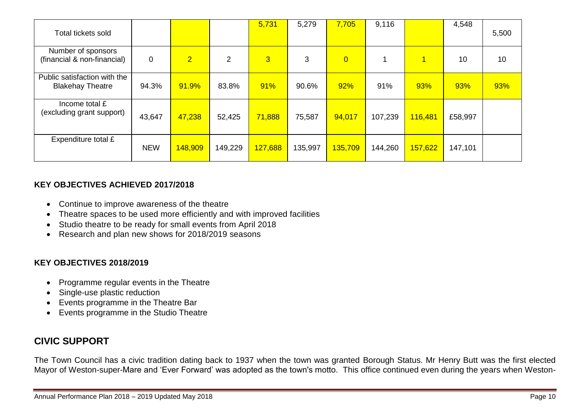| Total tickets sold                                      |             |                |                | 5,731          | 5,279   | 7,705          | 9,116   |         | 4,548   | 5,500 |
|---------------------------------------------------------|-------------|----------------|----------------|----------------|---------|----------------|---------|---------|---------|-------|
| Number of sponsors<br>(financial & non-financial)       | $\mathbf 0$ | $\overline{2}$ | $\overline{2}$ | $\overline{3}$ | 3       | $\overline{0}$ |         | 1       | 10      | 10    |
| Public satisfaction with the<br><b>Blakehay Theatre</b> | 94.3%       | 91.9%          | 83.8%          | 91%            | 90.6%   | 92%            | 91%     | 93%     | 93%     | 93%   |
| Income total £<br>(excluding grant support)             | 43,647      | 47,238         | 52,425         | 71,888         | 75,587  | 94,017         | 107,239 | 116,481 | £58,997 |       |
| Expenditure total £                                     | <b>NEW</b>  | 148,909        | 149,229        | 127,688        | 135,997 | 135,709        | 144,260 | 157,622 | 147,101 |       |

#### **KEY OBJECTIVES ACHIEVED 2017/2018**

- Continue to improve awareness of the theatre
- Theatre spaces to be used more efficiently and with improved facilities
- Studio theatre to be ready for small events from April 2018
- Research and plan new shows for 2018/2019 seasons

#### **KEY OBJECTIVES 2018/2019**

- Programme regular events in the Theatre
- Single-use plastic reduction
- Events programme in the Theatre Bar
- Events programme in the Studio Theatre

## **CIVIC SUPPORT**

The Town Council has a civic tradition dating back to 1937 when the town was granted Borough Status. Mr Henry Butt was the first elected Mayor of Weston-super-Mare and 'Ever Forward' was adopted as the town's motto. This office continued even during the years when Weston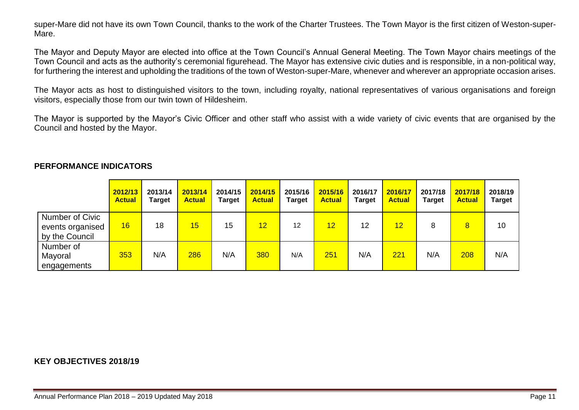super-Mare did not have its own Town Council, thanks to the work of the Charter Trustees. The Town Mayor is the first citizen of Weston-super-Mare.

The Mayor and Deputy Mayor are elected into office at the Town Council's Annual General Meeting. The Town Mayor chairs meetings of the Town Council and acts as the authority's ceremonial figurehead. The Mayor has extensive civic duties and is responsible, in a non-political way, for furthering the interest and upholding the traditions of the town of Weston-super-Mare, whenever and wherever an appropriate occasion arises.

The Mayor acts as host to distinguished visitors to the town, including royalty, national representatives of various organisations and foreign visitors, especially those from our twin town of Hildesheim.

The Mayor is supported by the Mayor's Civic Officer and other staff who assist with a wide variety of civic events that are organised by the Council and hosted by the Mayor.

|                                                       | 2012/13<br><b>Actual</b> | 2013/14<br>Target | 2013/14<br><b>Actual</b> | 2014/15<br><b>Target</b> | 2014/15<br><b>Actual</b> | 2015/16<br><b>Target</b> | 2015/16<br><b>Actual</b> | 2016/17<br><b>Target</b> | 2016/17<br><b>Actual</b> | 2017/18<br><b>Target</b> | 2017/18<br><b>Actual</b> | 2018/19<br><b>Target</b> |
|-------------------------------------------------------|--------------------------|-------------------|--------------------------|--------------------------|--------------------------|--------------------------|--------------------------|--------------------------|--------------------------|--------------------------|--------------------------|--------------------------|
| Number of Civic<br>events organised<br>by the Council | 16                       | 18                | 15                       | 15                       | 12                       | 12                       | 12                       | 12                       | 12                       | 8                        | 8                        | 10                       |
| Number of<br>Mayoral<br>engagements                   | 353                      | N/A               | 286                      | N/A                      | 380                      | N/A                      | 251                      | N/A                      | 221                      | N/A                      | 208                      | N/A                      |

#### **PERFORMANCE INDICATORS**

#### **KEY OBJECTIVES 2018/19**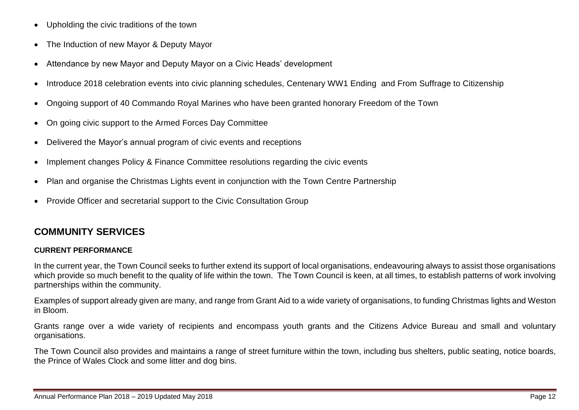- Upholding the civic traditions of the town
- The Induction of new Mayor & Deputy Mayor
- Attendance by new Mayor and Deputy Mayor on a Civic Heads' development
- Introduce 2018 celebration events into civic planning schedules, Centenary WW1 Ending and From Suffrage to Citizenship
- Ongoing support of 40 Commando Royal Marines who have been granted honorary Freedom of the Town
- On going civic support to the Armed Forces Day Committee
- Delivered the Mayor's annual program of civic events and receptions
- Implement changes Policy & Finance Committee resolutions regarding the civic events
- Plan and organise the Christmas Lights event in conjunction with the Town Centre Partnership
- Provide Officer and secretarial support to the Civic Consultation Group

## **COMMUNITY SERVICES**

#### **CURRENT PERFORMANCE**

In the current year, the Town Council seeks to further extend its support of local organisations, endeavouring always to assist those organisations which provide so much benefit to the quality of life within the town. The Town Council is keen, at all times, to establish patterns of work involving partnerships within the community.

Examples of support already given are many, and range from Grant Aid to a wide variety of organisations, to funding Christmas lights and Weston in Bloom.

Grants range over a wide variety of recipients and encompass youth grants and the Citizens Advice Bureau and small and voluntary organisations.

The Town Council also provides and maintains a range of street furniture within the town, including bus shelters, public seating, notice boards, the Prince of Wales Clock and some litter and dog bins.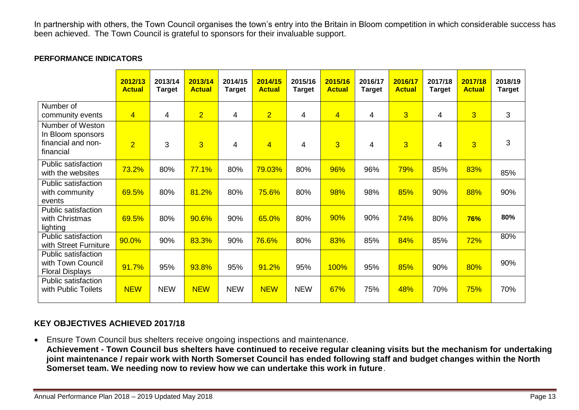In partnership with others, the Town Council organises the town's entry into the Britain in Bloom competition in which considerable success has been achieved. The Town Council is grateful to sponsors for their invaluable support.

#### **PERFORMANCE INDICATORS**

|                                                                          | 2012/13<br><b>Actual</b> | 2013/14<br><b>Target</b> | 2013/14<br><b>Actual</b> | 2014/15<br><b>Target</b> | 2014/15<br><b>Actual</b> | 2015/16<br><b>Target</b> | 2015/16<br><b>Actual</b> | 2016/17<br><b>Target</b> | 2016/17<br><b>Actual</b> | 2017/18<br><b>Target</b> | 2017/18<br><b>Actual</b> | 2018/19<br><b>Target</b> |
|--------------------------------------------------------------------------|--------------------------|--------------------------|--------------------------|--------------------------|--------------------------|--------------------------|--------------------------|--------------------------|--------------------------|--------------------------|--------------------------|--------------------------|
| Number of<br>community events                                            | $\overline{4}$           | 4                        | $\overline{2}$           | 4                        | $\overline{2}$           | 4                        | $\overline{4}$           | 4                        | $\overline{3}$           | 4                        | $\overline{3}$           | 3                        |
| Number of Weston<br>In Bloom sponsors<br>financial and non-<br>financial | $\overline{2}$           | 3                        | $\overline{3}$           | 4                        | $\overline{4}$           | 4                        | $\overline{3}$           | 4                        | $\overline{3}$           | 4                        | 3                        | 3                        |
| Public satisfaction<br>with the websites                                 | 73.2%                    | 80%                      | 77.1%                    | 80%                      | 79.03%                   | 80%                      | 96%                      | 96%                      | 79%                      | 85%                      | 83%                      | 85%                      |
| <b>Public satisfaction</b><br>with community<br>events                   | 69.5%                    | 80%                      | 81.2%                    | 80%                      | 75.6%                    | 80%                      | 98%                      | 98%                      | 85%                      | 90%                      | 88%                      | 90%                      |
| Public satisfaction<br>with Christmas<br>lighting                        | 69.5%                    | 80%                      | 90.6%                    | 90%                      | 65.0%                    | 80%                      | 90%                      | 90%                      | 74%                      | 80%                      | <b>76%</b>               | 80%                      |
| <b>Public satisfaction</b><br>with Street Furniture                      | 90.0%                    | 90%                      | 83.3%                    | 90%                      | 76.6%                    | 80%                      | 83%                      | 85%                      | 84%                      | 85%                      | 72%                      | 80%                      |
| Public satisfaction<br>with Town Council<br><b>Floral Displays</b>       | 91.7%                    | 95%                      | 93.8%                    | 95%                      | 91.2%                    | 95%                      | 100%                     | 95%                      | 85%                      | 90%                      | 80%                      | 90%                      |
| Public satisfaction<br>with Public Toilets                               | <b>NEW</b>               | <b>NEW</b>               | <b>NEW</b>               | <b>NEW</b>               | <b>NEW</b>               | <b>NEW</b>               | 67%                      | 75%                      | 48%                      | 70%                      | 75%                      | 70%                      |

#### **KEY OBJECTIVES ACHIEVED 2017/18**

 Ensure Town Council bus shelters receive ongoing inspections and maintenance. **Achievement - Town Council bus shelters have continued to receive regular cleaning visits but the mechanism for undertaking joint maintenance / repair work with North Somerset Council has ended following staff and budget changes within the North Somerset team. We needing now to review how we can undertake this work in future**.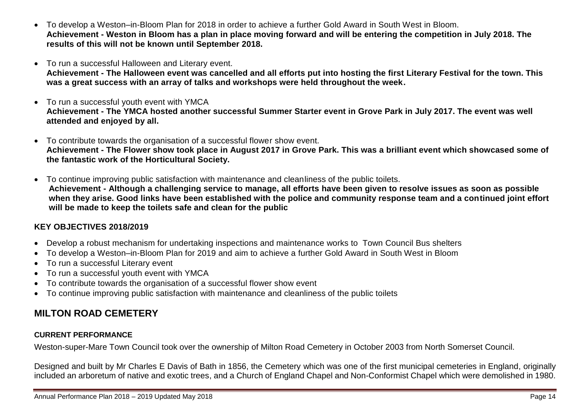- To develop a Weston–in-Bloom Plan for 2018 in order to achieve a further Gold Award in South West in Bloom. **Achievement - Weston in Bloom has a plan in place moving forward and will be entering the competition in July 2018. The results of this will not be known until September 2018.**
- To run a successful Halloween and Literary event.
- **Achievement - The Halloween event was cancelled and all efforts put into hosting the first Literary Festival for the town. This was a great success with an array of talks and workshops were held throughout the week.**
- To run a successful youth event with YMCA **Achievement - The YMCA hosted another successful Summer Starter event in Grove Park in July 2017. The event was well attended and enjoyed by all.**
- To contribute towards the organisation of a successful flower show event. **Achievement - The Flower show took place in August 2017 in Grove Park. This was a brilliant event which showcased some of the fantastic work of the Horticultural Society.**
- To continue improving public satisfaction with maintenance and cleanliness of the public toilets. **Achievement - Although a challenging service to manage, all efforts have been given to resolve issues as soon as possible when they arise. Good links have been established with the police and community response team and a continued joint effort will be made to keep the toilets safe and clean for the public**

#### **KEY OBJECTIVES 2018/2019**

- Develop a robust mechanism for undertaking inspections and maintenance works to Town Council Bus shelters
- To develop a Weston–in-Bloom Plan for 2019 and aim to achieve a further Gold Award in South West in Bloom
- To run a successful Literary event
- To run a successful youth event with YMCA
- To contribute towards the organisation of a successful flower show event
- To continue improving public satisfaction with maintenance and cleanliness of the public toilets

# **MILTON ROAD CEMETERY**

#### **CURRENT PERFORMANCE**

Weston-super-Mare Town Council took over the ownership of Milton Road Cemetery in October 2003 from North Somerset Council.

Designed and built by Mr Charles E Davis of Bath in 1856, the Cemetery which was one of the first municipal cemeteries in England, originally included an arboretum of native and exotic trees, and a Church of England Chapel and Non-Conformist Chapel which were demolished in 1980.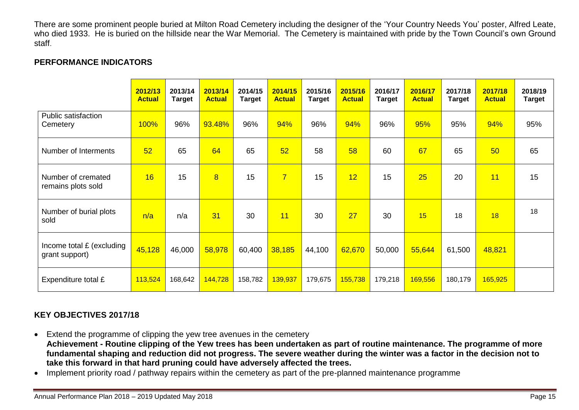There are some prominent people buried at Milton Road Cemetery including the designer of the 'Your Country Needs You' poster, Alfred Leate, who died 1933. He is buried on the hillside near the War Memorial. The Cemetery is maintained with pride by the Town Council's own Ground staff.

#### **PERFORMANCE INDICATORS**

|                                             | 2012/13<br><b>Actual</b> | 2013/14<br><b>Target</b> | 2013/14<br><b>Actual</b> | 2014/15<br><b>Target</b> | 2014/15<br><b>Actual</b> | 2015/16<br><b>Target</b> | 2015/16<br><b>Actual</b> | 2016/17<br><b>Target</b> | 2016/17<br><b>Actual</b> | 2017/18<br><b>Target</b> | 2017/18<br><b>Actual</b> | 2018/19<br><b>Target</b> |
|---------------------------------------------|--------------------------|--------------------------|--------------------------|--------------------------|--------------------------|--------------------------|--------------------------|--------------------------|--------------------------|--------------------------|--------------------------|--------------------------|
| Public satisfaction<br>Cemetery             | 100%                     | 96%                      | 93.48%                   | 96%                      | 94%                      | 96%                      | 94%                      | 96%                      | 95%                      | 95%                      | 94%                      | 95%                      |
| Number of Interments                        | 52                       | 65                       | 64                       | 65                       | 52                       | 58                       | 58                       | 60                       | 67                       | 65                       | 50                       | 65                       |
| Number of cremated<br>remains plots sold    | 16                       | 15                       | $\overline{8}$           | 15                       | $\overline{7}$           | 15                       | 12                       | 15                       | 25                       | 20                       | 11                       | 15                       |
| Number of burial plots<br>sold              | n/a                      | n/a                      | 31                       | 30                       | 11                       | 30                       | 27                       | 30                       | 15                       | 18                       | 18                       | 18                       |
| Income total £ (excluding<br>grant support) | 45,128                   | 46,000                   | 58,978                   | 60,400                   | 38,185                   | 44,100                   | 62,670                   | 50,000                   | 55,644                   | 61,500                   | 48,821                   |                          |
| Expenditure total £                         | 113,524                  | 168,642                  | 144,728                  | 158,782                  | 139,937                  | 179,675                  | 155,738                  | 179,218                  | 169,556                  | 180,179                  | 165,925                  |                          |

#### **KEY OBJECTIVES 2017/18**

- Extend the programme of clipping the yew tree avenues in the cemetery **Achievement - Routine clipping of the Yew trees has been undertaken as part of routine maintenance. The programme of more fundamental shaping and reduction did not progress. The severe weather during the winter was a factor in the decision not to take this forward in that hard pruning could have adversely affected the trees.**
- Implement priority road / pathway repairs within the cemetery as part of the pre-planned maintenance programme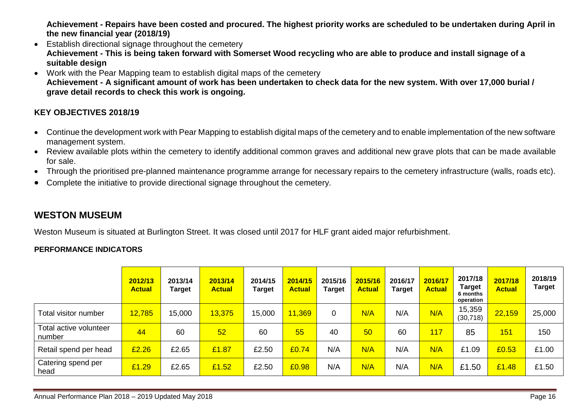**Achievement - Repairs have been costed and procured. The highest priority works are scheduled to be undertaken during April in the new financial year (2018/19)**

- Establish directional signage throughout the cemetery **Achievement - This is being taken forward with Somerset Wood recycling who are able to produce and install signage of a suitable design**
- Work with the Pear Mapping team to establish digital maps of the cemetery **Achievement - A significant amount of work has been undertaken to check data for the new system. With over 17,000 burial / grave detail records to check this work is ongoing.**

#### **KEY OBJECTIVES 2018/19**

- Continue the development work with Pear Mapping to establish digital maps of the cemetery and to enable implementation of the new software management system.
- Review available plots within the cemetery to identify additional common graves and additional new grave plots that can be made available for sale.
- Through the prioritised pre-planned maintenance programme arrange for necessary repairs to the cemetery infrastructure (walls, roads etc).
- Complete the initiative to provide directional signage throughout the cemetery.

## **WESTON MUSEUM**

Weston Museum is situated at Burlington Street. It was closed until 2017 for HLF grant aided major refurbishment.

#### **PERFORMANCE INDICATORS**

|                                  | 2012/13<br><b>Actual</b> | 2013/14<br><b>Target</b> | 2013/14<br><b>Actual</b> | 2014/15<br><b>Target</b> | 2014/15<br><b>Actual</b> | 2015/16<br><b>Target</b> | 2015/16<br><b>Actual</b> | 2016/17<br><b>Target</b> | 2016/17<br><b>Actual</b> | 2017/18<br>Target<br>6 months<br>operation | 2017/18<br><b>Actual</b> | 2018/19<br><b>Target</b> |
|----------------------------------|--------------------------|--------------------------|--------------------------|--------------------------|--------------------------|--------------------------|--------------------------|--------------------------|--------------------------|--------------------------------------------|--------------------------|--------------------------|
| Total visitor number             | 12,785                   | 15,000                   | 13,375                   | 15,000                   | 11,369                   | 0                        | N/A                      | N/A                      | N/A                      | 15,359<br>(30, 718)                        | 22,159                   | 25,000                   |
| Total active volunteer<br>number | 44                       | 60                       | 52                       | 60                       | 55                       | 40                       | 50                       | 60                       | 117                      | 85                                         | 151                      | 150                      |
| Retail spend per head            | £2.26                    | £2.65                    | £1.87                    | £2.50                    | £0.74                    | N/A                      | N/A                      | N/A                      | N/A                      | £1.09                                      | £0.53                    | £1.00                    |
| Catering spend per<br>head       | £1.29                    | £2.65                    | £1.52                    | £2.50                    | £0.98                    | N/A                      | N/A                      | N/A                      | N/A                      | £1.50                                      | £1.48                    | £1.50                    |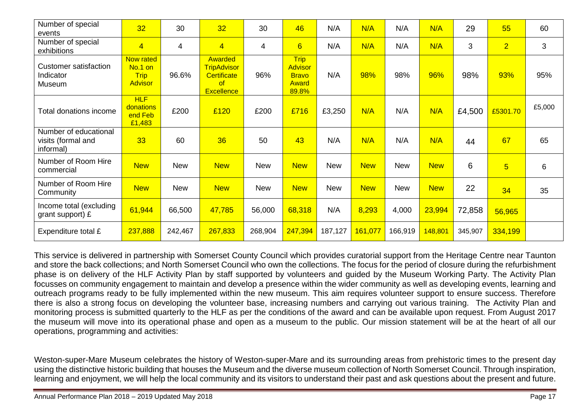| Number of special<br>events                              | 32                                                    | 30             | 32                                                                             | 30             | 46                                                              | N/A        | N/A        | N/A        | N/A        | 29      | 55              | 60     |
|----------------------------------------------------------|-------------------------------------------------------|----------------|--------------------------------------------------------------------------------|----------------|-----------------------------------------------------------------|------------|------------|------------|------------|---------|-----------------|--------|
| Number of special<br>exhibitions                         | $\overline{4}$                                        | $\overline{4}$ | $\overline{4}$                                                                 | $\overline{4}$ | $6\overline{6}$                                                 | N/A        | N/A        | N/A        | N/A        | 3       | $\overline{2}$  | 3      |
| <b>Customer satisfaction</b><br>Indicator<br>Museum      | Now rated<br>No.1 on<br><b>Trip</b><br><b>Advisor</b> | 96.6%          | Awarded<br><b>TripAdvisor</b><br><b>Certificate</b><br>of<br><b>Excellence</b> | 96%            | <b>Trip</b><br><b>Advisor</b><br><b>Bravo</b><br>Award<br>89.8% | N/A        | 98%        | 98%        | 96%        | 98%     | 93%             | 95%    |
| Total donations income                                   | HLF<br>donations<br>end Feb<br>£1,483                 | £200           | £120                                                                           | £200           | £716                                                            | £3,250     | N/A        | N/A        | N/A        | £4,500  | £5301.70        | £5,000 |
| Number of educational<br>visits (formal and<br>informal) | 33                                                    | 60             | 36                                                                             | 50             | 43                                                              | N/A        | N/A        | N/A        | N/A        | 44      | 67              | 65     |
| Number of Room Hire<br>commercial                        | <b>New</b>                                            | <b>New</b>     | <b>New</b>                                                                     | <b>New</b>     | <b>New</b>                                                      | <b>New</b> | <b>New</b> | <b>New</b> | <b>New</b> | 6       | $5\overline{)}$ | 6      |
| Number of Room Hire<br>Community                         | <b>New</b>                                            | <b>New</b>     | <b>New</b>                                                                     | <b>New</b>     | <b>New</b>                                                      | <b>New</b> | <b>New</b> | <b>New</b> | <b>New</b> | 22      | 34              | 35     |
| Income total (excluding<br>grant support) £              | 61,944                                                | 66,500         | 47,785                                                                         | 56,000         | 68,318                                                          | N/A        | 8,293      | 4,000      | 23,994     | 72,858  | 56,965          |        |
| Expenditure total £                                      | 237,888                                               | 242,467        | 267,833                                                                        | 268,904        | 247,394                                                         | 187,127    | 161,077    | 166,919    | 148,801    | 345,907 | 334,199         |        |

This service is delivered in partnership with Somerset County Council which provides curatorial support from the Heritage Centre near Taunton and store the back collections; and North Somerset Council who own the collections. The focus for the period of closure during the refurbishment phase is on delivery of the HLF Activity Plan by staff supported by volunteers and guided by the Museum Working Party. The Activity Plan focusses on community engagement to maintain and develop a presence within the wider community as well as developing events, learning and outreach programs ready to be fully implemented within the new museum. This aim requires volunteer support to ensure success. Therefore there is also a strong focus on developing the volunteer base, increasing numbers and carrying out various training.The Activity Plan and monitoring process is submitted quarterly to the HLF as per the conditions of the award and can be available upon request. From August 2017 the museum will move into its operational phase and open as a museum to the public. Our mission statement will be at the heart of all our operations, programming and activities:

Weston-super-Mare Museum celebrates the history of Weston-super-Mare and its surrounding areas from prehistoric times to the present day using the distinctive historic building that houses the Museum and the diverse museum collection of North Somerset Council. Through inspiration, learning and enjoyment, we will help the local community and its visitors to understand their past and ask questions about the present and future.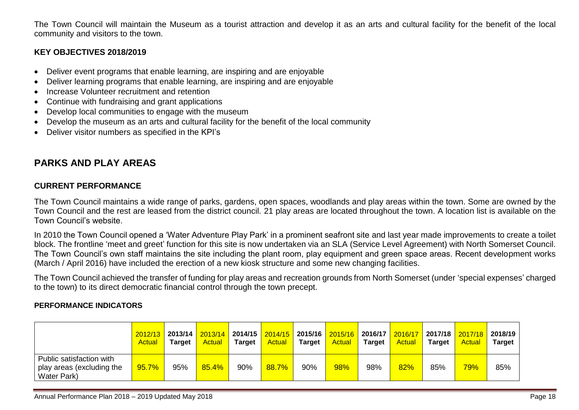The Town Council will maintain the Museum as a tourist attraction and develop it as an arts and cultural facility for the benefit of the local community and visitors to the town.

#### **KEY OBJECTIVES 2018/2019**

- Deliver event programs that enable learning, are inspiring and are enjoyable
- Deliver learning programs that enable learning, are inspiring and are enjoyable
- Increase Volunteer recruitment and retention
- Continue with fundraising and grant applications
- Develop local communities to engage with the museum
- Develop the museum as an arts and cultural facility for the benefit of the local community
- Deliver visitor numbers as specified in the KPI's

## **PARKS AND PLAY AREAS**

## **CURRENT PERFORMANCE**

The Town Council maintains a wide range of parks, gardens, open spaces, woodlands and play areas within the town. Some are owned by the Town Council and the rest are leased from the district council. 21 play areas are located throughout the town. A location list is available on the Town Council's website.

In 2010 the Town Council opened a 'Water Adventure Play Park' in a prominent seafront site and last year made improvements to create a toilet block. The frontline 'meet and greet' function for this site is now undertaken via an SLA (Service Level Agreement) with North Somerset Council. The Town Council's own staff maintains the site including the plant room, play equipment and green space areas. Recent development works (March / April 2016) have included the erection of a new kiosk structure and some new changing facilities.

The Town Council achieved the transfer of funding for play areas and recreation grounds from North Somerset (under 'special expenses' charged to the town) to its direct democratic financial control through the town precept.

#### **PERFORMANCE INDICATORS**

|                                                                      | 2012/13<br>Actual | 2013/14<br>Tarɑet | 2013/14<br><b>Actual</b> | <b>Target</b> | 2014/15 2014/15 2015/16 2015/16<br><b>Actual</b> | Target | <b>Actual</b> | 2016/17<br><b>Target</b> | 2016/17<br><b>Actual</b> | 2017/18 <mark> </mark><br><b>Target</b> | 2017/18 <br><b>Actual</b> | 2018/19<br><b>Target</b> |
|----------------------------------------------------------------------|-------------------|-------------------|--------------------------|---------------|--------------------------------------------------|--------|---------------|--------------------------|--------------------------|-----------------------------------------|---------------------------|--------------------------|
| Public satisfaction with<br>play areas (excluding the<br>Water Park) | 95.7%             | 95%               | 85.4%                    | 90%           | 88.7%                                            | 90%    | 98%           | 98%                      | 82%                      | 85%                                     | 79%                       | 85%                      |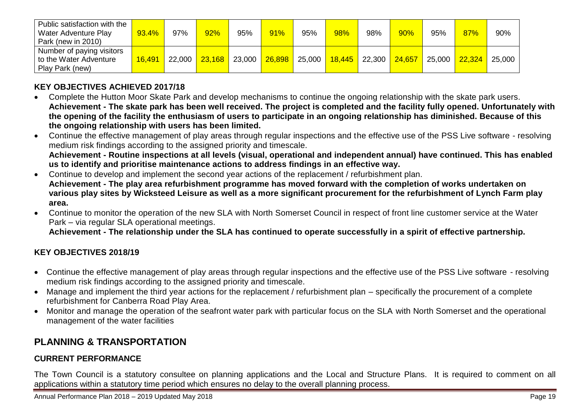| Public satisfaction with the<br>Water Adventure Play<br>Park (new in 2010) | 93.4%  | 97%    | 92%    | 95%    | 91%    | 95%    | 98% | 98%             | 90%    | 95%    | 87%    | 90%    |
|----------------------------------------------------------------------------|--------|--------|--------|--------|--------|--------|-----|-----------------|--------|--------|--------|--------|
| Number of paying visitors<br>to the Water Adventure<br>Play Park (new)     | 16,491 | 22,000 | 23,168 | 23,000 | 26,898 | 25,000 |     | $18,445$ 22,300 | 24,657 | 25,000 | 22,324 | 25,000 |

## **KEY OBJECTIVES ACHIEVED 2017/18**

- Complete the Hutton Moor Skate Park and develop mechanisms to continue the ongoing relationship with the skate park users. **Achievement - The skate park has been well received. The project is completed and the facility fully opened. Unfortunately with the opening of the facility the enthusiasm of users to participate in an ongoing relationship has diminished. Because of this the ongoing relationship with users has been limited.**
- Continue the effective management of play areas through regular inspections and the effective use of the PSS Live software resolving medium risk findings according to the assigned priority and timescale. **Achievement - Routine inspections at all levels (visual, operational and independent annual) have continued. This has enabled us to identify and prioritise maintenance actions to address findings in an effective way.**
- Continue to develop and implement the second year actions of the replacement / refurbishment plan. **Achievement - The play area refurbishment programme has moved forward with the completion of works undertaken on various play sites by Wicksteed Leisure as well as a more significant procurement for the refurbishment of Lynch Farm play area.**
- Continue to monitor the operation of the new SLA with North Somerset Council in respect of front line customer service at the Water Park – via regular SLA operational meetings.

**Achievement - The relationship under the SLA has continued to operate successfully in a spirit of effective partnership.**

#### **KEY OBJECTIVES 2018/19**

- Continue the effective management of play areas through regular inspections and the effective use of the PSS Live software resolving medium risk findings according to the assigned priority and timescale.
- Manage and implement the third year actions for the replacement / refurbishment plan specifically the procurement of a complete refurbishment for Canberra Road Play Area.
- Monitor and manage the operation of the seafront water park with particular focus on the SLA with North Somerset and the operational management of the water facilities

# **PLANNING & TRANSPORTATION**

#### **CURRENT PERFORMANCE**

The Town Council is a statutory consultee on planning applications and the Local and Structure Plans. It is required to comment on all applications within a statutory time period which ensures no delay to the overall planning process.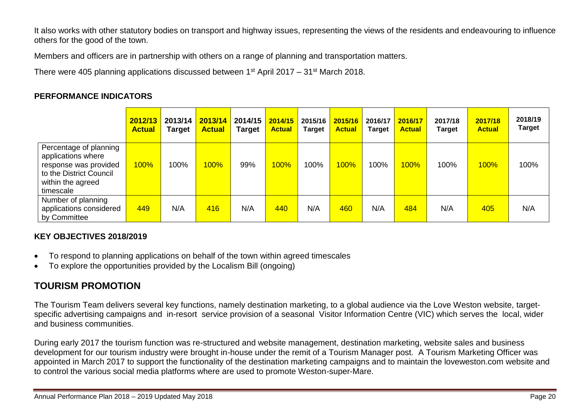It also works with other statutory bodies on transport and highway issues, representing the views of the residents and endeavouring to influence others for the good of the town.

Members and officers are in partnership with others on a range of planning and transportation matters.

There were 405 planning applications discussed between  $1<sup>st</sup>$  April 2017 – 31 $<sup>st</sup>$  March 2018.</sup>

#### **PERFORMANCE INDICATORS**

|                                                                                                                                    | 2012/13<br><b>Actual</b> | 2013/14<br><b>Target</b> | 2013/14<br><b>Actual</b> | 2014/15<br><b>Target</b> | 2014/15<br><b>Actual</b> | 2015/16<br><b>Target</b> | 2015/16<br><b>Actual</b> | 2016/17<br><b>Target</b> | 2016/17<br><b>Actual</b> | 2017/18<br>Target | 2017/18<br><b>Actual</b> | 2018/19<br><b>Target</b> |
|------------------------------------------------------------------------------------------------------------------------------------|--------------------------|--------------------------|--------------------------|--------------------------|--------------------------|--------------------------|--------------------------|--------------------------|--------------------------|-------------------|--------------------------|--------------------------|
| Percentage of planning<br>applications where<br>response was provided<br>to the District Council<br>within the agreed<br>timescale | <b>100%</b>              | 100%                     | <b>100%</b>              | 99%                      | 100%                     | 100%                     | <b>100%</b>              | 100%                     | 100%                     | 100%              | 100%                     | 100%                     |
| Number of planning<br>applications considered<br>by Committee                                                                      | 449                      | N/A                      | 416                      | N/A                      | 440                      | N/A                      | 460                      | N/A                      | 484                      | N/A               | 405                      | N/A                      |

#### **KEY OBJECTIVES 2018/2019**

- To respond to planning applications on behalf of the town within agreed timescales
- To explore the opportunities provided by the Localism Bill (ongoing)

# **TOURISM PROMOTION**

The Tourism Team delivers several key functions, namely destination marketing, to a global audience via the Love Weston website, targetspecific advertising campaigns and in-resort service provision of a seasonal Visitor Information Centre (VIC) which serves the local, wider and business communities.

During early 2017 the tourism function was re-structured and website management, destination marketing, website sales and business development for our tourism industry were brought in-house under the remit of a Tourism Manager post. A Tourism Marketing Officer was appointed in March 2017 to support the functionality of the destination marketing campaigns and to maintain the loveweston.com website and to control the various social media platforms where are used to promote Weston-super-Mare.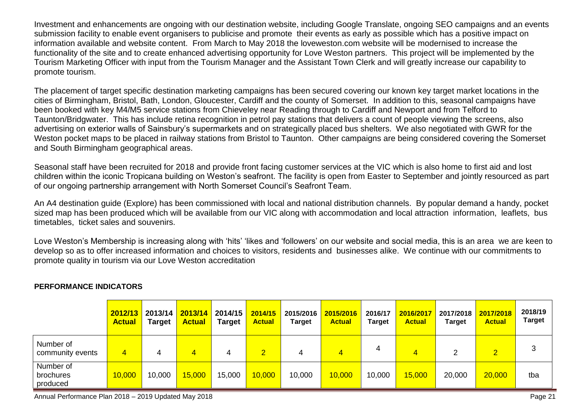Investment and enhancements are ongoing with our destination website, including Google Translate, ongoing SEO campaigns and an events submission facility to enable event organisers to publicise and promote their events as early as possible which has a positive impact on information available and website content. From March to May 2018 the loveweston.com website will be modernised to increase the functionality of the site and to create enhanced advertising opportunity for Love Weston partners. This project will be implemented by the Tourism Marketing Officer with input from the Tourism Manager and the Assistant Town Clerk and will greatly increase our capability to promote tourism.

The placement of target specific destination marketing campaigns has been secured covering our known key target market locations in the cities of Birmingham, Bristol, Bath, London, Gloucester, Cardiff and the county of Somerset. In addition to this, seasonal campaigns have been booked with key M4/M5 service stations from Chieveley near Reading through to Cardiff and Newport and from Telford to Taunton/Bridgwater. This has include retina recognition in petrol pay stations that delivers a count of people viewing the screens, also advertising on exterior walls of Sainsbury's supermarkets and on strategically placed bus shelters. We also negotiated with GWR for the Weston pocket maps to be placed in railway stations from Bristol to Taunton. Other campaigns are being considered covering the Somerset and South Birmingham geographical areas.

Seasonal staff have been recruited for 2018 and provide front facing customer services at the VIC which is also home to first aid and lost children within the iconic Tropicana building on Weston's seafront. The facility is open from Easter to September and jointly resourced as part of our ongoing partnership arrangement with North Somerset Council's Seafront Team.

An A4 destination guide (Explore) has been commissioned with local and national distribution channels. By popular demand a handy, pocket sized map has been produced which will be available from our VIC along with accommodation and local attraction information, leaflets, bus timetables, ticket sales and souvenirs.

Love Weston's Membership is increasing along with 'hits' 'likes and 'followers' on our website and social media, this is an area we are keen to develop so as to offer increased information and choices to visitors, residents and businesses alike. We continue with our commitments to promote quality in tourism via our Love Weston accreditation

|                                    | 2012/13<br><b>Actual</b> | 2013/14<br>Target | 2013/14<br><b>Actual</b> | 2014/15<br><b>Target</b> | 2014/15<br><b>Actual</b> | 2015/2016<br><b>Target</b> | 2015/2016<br><b>Actual</b> | 2016/17<br><b>Target</b> | 2016/2017<br><b>Actual</b> | 2017/2018<br><b>Target</b> | 2017/2018<br><b>Actual</b> | 2018/19<br><b>Target</b> |
|------------------------------------|--------------------------|-------------------|--------------------------|--------------------------|--------------------------|----------------------------|----------------------------|--------------------------|----------------------------|----------------------------|----------------------------|--------------------------|
| Number of<br>community events      | $\overline{4}$           |                   |                          | 4                        | 2.                       | 4                          | 4                          |                          |                            |                            | $\overline{2}$             |                          |
| Number of<br>brochures<br>produced | 10,000                   | 10,000            | 15,000                   | 15,000                   | 10,000                   | 10,000                     | 10,000                     | 10,000                   | 15,000                     | 20,000                     | 20,000                     | tba                      |

#### **PERFORMANCE INDICATORS**

Annual Performance Plan 2018 – 2019 Updated May 2018 Page 21 November 2018 Page 21 November 2018 Page 21 November 2019 Page 21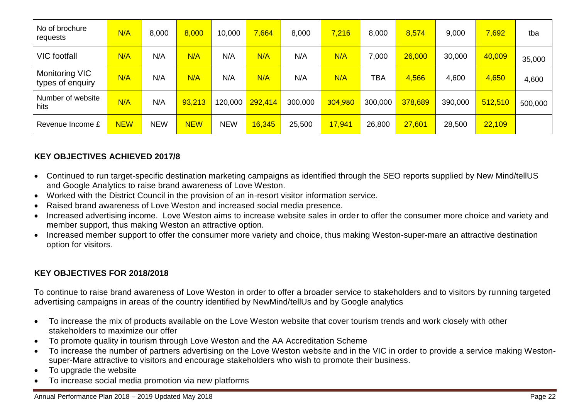| No of brochure<br>requests         | N/A        | 8,000      | 8,000      | 10,000     | 7,664   | 8,000   | 7,216   | 8,000   | 8,574   | 9,000   | 7,692   | tba     |
|------------------------------------|------------|------------|------------|------------|---------|---------|---------|---------|---------|---------|---------|---------|
| <b>VIC</b> footfall                | N/A        | N/A        | N/A        | N/A        | N/A     | N/A     | N/A     | 7,000   | 26,000  | 30,000  | 40,009  | 35,000  |
| Monitoring VIC<br>types of enquiry | N/A        | N/A        | N/A        | N/A        | N/A     | N/A     | N/A     | TBA     | 4,566   | 4,600   | 4,650   | 4,600   |
| Number of website<br>hits          | N/A        | N/A        | 93,213     | 120,000    | 292,414 | 300,000 | 304,980 | 300,000 | 378,689 | 390,000 | 512,510 | 500,000 |
| Revenue Income £                   | <b>NEW</b> | <b>NEW</b> | <b>NEW</b> | <b>NEW</b> | 16,345  | 25,500  | 17,941  | 26,800  | 27,601  | 28,500  | 22,109  |         |

## **KEY OBJECTIVES ACHIEVED 2017/8**

- Continued to run target-specific destination marketing campaigns as identified through the SEO reports supplied by New Mind/tellUS and Google Analytics to raise brand awareness of Love Weston.
- Worked with the District Council in the provision of an in-resort visitor information service.
- Raised brand awareness of Love Weston and increased social media presence.
- Increased advertising income. Love Weston aims to increase website sales in order to offer the consumer more choice and variety and member support, thus making Weston an attractive option.
- Increased member support to offer the consumer more variety and choice, thus making Weston-super-mare an attractive destination option for visitors.

#### **KEY OBJECTIVES FOR 2018/2018**

To continue to raise brand awareness of Love Weston in order to offer a broader service to stakeholders and to visitors by running targeted advertising campaigns in areas of the country identified by NewMind/tellUs and by Google analytics

- To increase the mix of products available on the Love Weston website that cover tourism trends and work closely with other stakeholders to maximize our offer
- To promote quality in tourism through Love Weston and the AA Accreditation Scheme
- To increase the number of partners advertising on the Love Weston website and in the VIC in order to provide a service making Westonsuper-Mare attractive to visitors and encourage stakeholders who wish to promote their business.
- To upgrade the website
- To increase social media promotion via new platforms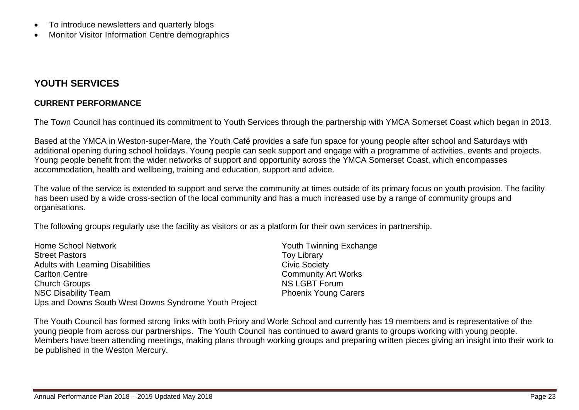- To introduce newsletters and quarterly blogs
- Monitor Visitor Information Centre demographics

## **YOUTH SERVICES**

#### **CURRENT PERFORMANCE**

The Town Council has continued its commitment to Youth Services through the partnership with YMCA Somerset Coast which began in 2013.

Based at the YMCA in Weston-super-Mare, the Youth Café provides a safe fun space for young people after school and Saturdays with additional opening during school holidays. Young people can seek support and engage with a programme of activities, events and projects. Young people benefit from the wider networks of support and opportunity across the YMCA Somerset Coast, which encompasses accommodation, health and wellbeing, training and education, support and advice.

The value of the service is extended to support and serve the community at times outside of its primary focus on youth provision. The facility has been used by a wide cross-section of the local community and has a much increased use by a range of community groups and organisations.

The following groups regularly use the facility as visitors or as a platform for their own services in partnership.

| Home School Network                                   | <b>Youth Twinning Exchange</b> |
|-------------------------------------------------------|--------------------------------|
| <b>Street Pastors</b>                                 | <b>Toy Library</b>             |
| <b>Adults with Learning Disabilities</b>              | <b>Civic Society</b>           |
| <b>Carlton Centre</b>                                 | <b>Community Art Works</b>     |
| <b>Church Groups</b>                                  | <b>NS LGBT Forum</b>           |
| <b>NSC Disability Team</b>                            | <b>Phoenix Young Carers</b>    |
| Ups and Downs South West Downs Syndrome Youth Project |                                |

The Youth Council has formed strong links with both Priory and Worle School and currently has 19 members and is representative of the young people from across our partnerships. The Youth Council has continued to award grants to groups working with young people. Members have been attending meetings, making plans through working groups and preparing written pieces giving an insight into their work to be published in the Weston Mercury.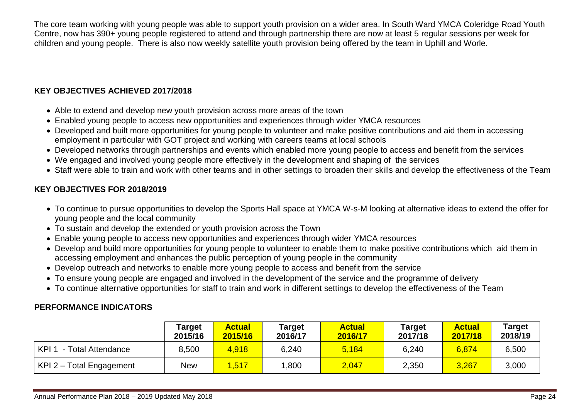The core team working with young people was able to support youth provision on a wider area. In South Ward YMCA Coleridge Road Youth Centre, now has 390+ young people registered to attend and through partnership there are now at least 5 regular sessions per week for children and young people. There is also now weekly satellite youth provision being offered by the team in Uphill and Worle.

## **KEY OBJECTIVES ACHIEVED 2017/2018**

- Able to extend and develop new youth provision across more areas of the town
- Enabled young people to access new opportunities and experiences through wider YMCA resources
- Developed and built more opportunities for young people to volunteer and make positive contributions and aid them in accessing employment in particular with GOT project and working with careers teams at local schools
- Developed networks through partnerships and events which enabled more young people to access and benefit from the services
- We engaged and involved young people more effectively in the development and shaping of the services
- Staff were able to train and work with other teams and in other settings to broaden their skills and develop the effectiveness of the Team

#### **KEY OBJECTIVES FOR 2018/2019**

- To continue to pursue opportunities to develop the Sports Hall space at YMCA W-s-M looking at alternative ideas to extend the offer for young people and the local community
- To sustain and develop the extended or youth provision across the Town
- Enable young people to access new opportunities and experiences through wider YMCA resources
- Develop and build more opportunities for young people to volunteer to enable them to make positive contributions which aid them in accessing employment and enhances the public perception of young people in the community
- Develop outreach and networks to enable more young people to access and benefit from the service
- To ensure young people are engaged and involved in the development of the service and the programme of delivery
- To continue alternative opportunities for staff to train and work in different settings to develop the effectiveness of the Team

## **PERFORMANCE INDICATORS**

|                                        | <b>Target</b><br>2015/16 | <b>Actual</b><br>2015/16 | Target<br>2016/17 | <b>Actual</b><br>2016/17 | Target<br>2017/18 | <b>Actual</b><br>2017/18 | Target<br>2018/19 |
|----------------------------------------|--------------------------|--------------------------|-------------------|--------------------------|-------------------|--------------------------|-------------------|
| KPI <sub>1</sub><br>- Total Attendance | 8,500                    | 4,918                    | 6,240             | 5,184                    | 6,240             | 6,874                    | 6,500             |
| KPI 2 - Total Engagement               | New                      | 1,517                    | ,800              | 2,047                    | 2,350             | 3,267                    | 3,000             |